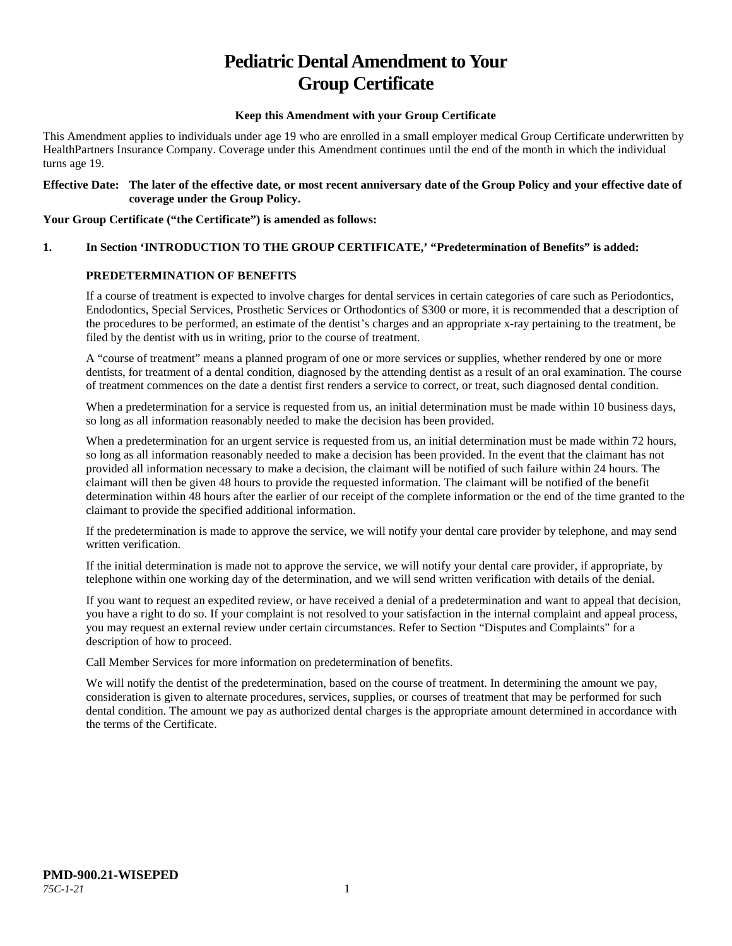# **Pediatric Dental Amendment to Your Group Certificate**

#### **Keep this Amendment with your Group Certificate**

This Amendment applies to individuals under age 19 who are enrolled in a small employer medical Group Certificate underwritten by HealthPartners Insurance Company. Coverage under this Amendment continues until the end of the month in which the individual turns age 19.

#### **Effective Date: The later of the effective date, or most recent anniversary date of the Group Policy and your effective date of coverage under the Group Policy.**

#### **Your Group Certificate ("the Certificate") is amended as follows:**

## **1. In Section 'INTRODUCTION TO THE GROUP CERTIFICATE,' "Predetermination of Benefits" is added:**

#### **PREDETERMINATION OF BENEFITS**

If a course of treatment is expected to involve charges for dental services in certain categories of care such as Periodontics, Endodontics, Special Services, Prosthetic Services or Orthodontics of \$300 or more, it is recommended that a description of the procedures to be performed, an estimate of the dentist's charges and an appropriate x-ray pertaining to the treatment, be filed by the dentist with us in writing, prior to the course of treatment.

A "course of treatment" means a planned program of one or more services or supplies, whether rendered by one or more dentists, for treatment of a dental condition, diagnosed by the attending dentist as a result of an oral examination. The course of treatment commences on the date a dentist first renders a service to correct, or treat, such diagnosed dental condition.

When a predetermination for a service is requested from us, an initial determination must be made within 10 business days, so long as all information reasonably needed to make the decision has been provided.

When a predetermination for an urgent service is requested from us, an initial determination must be made within 72 hours, so long as all information reasonably needed to make a decision has been provided. In the event that the claimant has not provided all information necessary to make a decision, the claimant will be notified of such failure within 24 hours. The claimant will then be given 48 hours to provide the requested information. The claimant will be notified of the benefit determination within 48 hours after the earlier of our receipt of the complete information or the end of the time granted to the claimant to provide the specified additional information.

If the predetermination is made to approve the service, we will notify your dental care provider by telephone, and may send written verification.

If the initial determination is made not to approve the service, we will notify your dental care provider, if appropriate, by telephone within one working day of the determination, and we will send written verification with details of the denial.

If you want to request an expedited review, or have received a denial of a predetermination and want to appeal that decision, you have a right to do so. If your complaint is not resolved to your satisfaction in the internal complaint and appeal process, you may request an external review under certain circumstances. Refer to Section "Disputes and Complaints" for a description of how to proceed.

Call Member Services for more information on predetermination of benefits.

We will notify the dentist of the predetermination, based on the course of treatment. In determining the amount we pay, consideration is given to alternate procedures, services, supplies, or courses of treatment that may be performed for such dental condition. The amount we pay as authorized dental charges is the appropriate amount determined in accordance with the terms of the Certificate.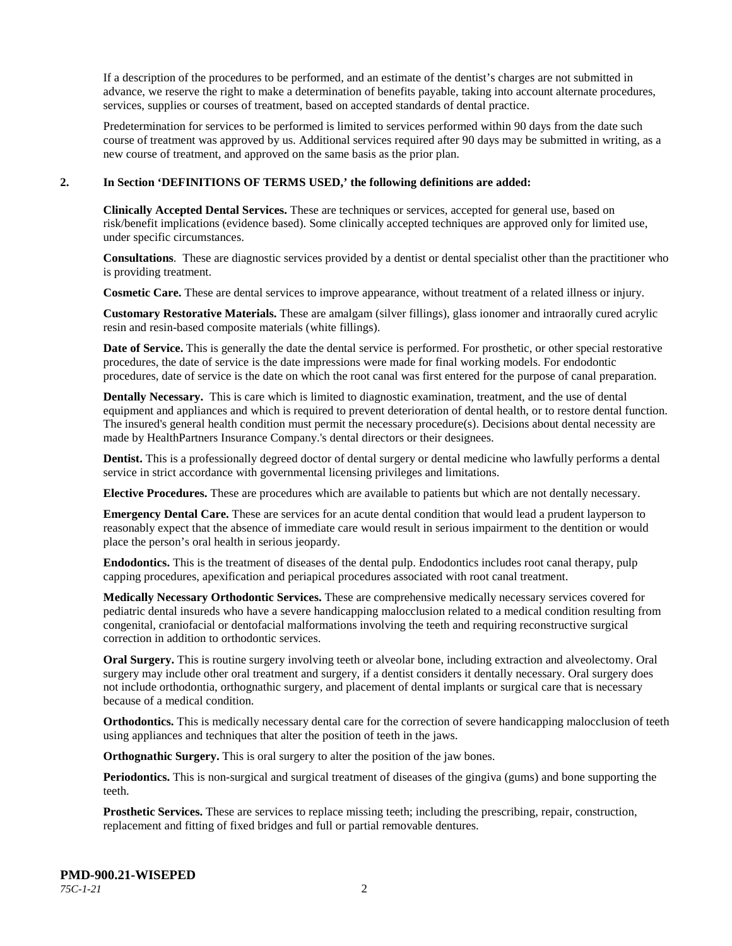If a description of the procedures to be performed, and an estimate of the dentist's charges are not submitted in advance, we reserve the right to make a determination of benefits payable, taking into account alternate procedures, services, supplies or courses of treatment, based on accepted standards of dental practice.

Predetermination for services to be performed is limited to services performed within 90 days from the date such course of treatment was approved by us. Additional services required after 90 days may be submitted in writing, as a new course of treatment, and approved on the same basis as the prior plan.

#### **2. In Section 'DEFINITIONS OF TERMS USED,' the following definitions are added:**

**Clinically Accepted Dental Services.** These are techniques or services, accepted for general use, based on risk/benefit implications (evidence based). Some clinically accepted techniques are approved only for limited use, under specific circumstances.

**Consultations**. These are diagnostic services provided by a dentist or dental specialist other than the practitioner who is providing treatment.

**Cosmetic Care.** These are dental services to improve appearance, without treatment of a related illness or injury.

**Customary Restorative Materials.** These are amalgam (silver fillings), glass ionomer and intraorally cured acrylic resin and resin-based composite materials (white fillings).

**Date of Service.** This is generally the date the dental service is performed. For prosthetic, or other special restorative procedures, the date of service is the date impressions were made for final working models. For endodontic procedures, date of service is the date on which the root canal was first entered for the purpose of canal preparation.

**Dentally Necessary.** This is care which is limited to diagnostic examination, treatment, and the use of dental equipment and appliances and which is required to prevent deterioration of dental health, or to restore dental function. The insured's general health condition must permit the necessary procedure(s). Decisions about dental necessity are made by HealthPartners Insurance Company.'s dental directors or their designees.

**Dentist.** This is a professionally degreed doctor of dental surgery or dental medicine who lawfully performs a dental service in strict accordance with governmental licensing privileges and limitations.

**Elective Procedures.** These are procedures which are available to patients but which are not dentally necessary.

**Emergency Dental Care.** These are services for an acute dental condition that would lead a prudent layperson to reasonably expect that the absence of immediate care would result in serious impairment to the dentition or would place the person's oral health in serious jeopardy.

**Endodontics.** This is the treatment of diseases of the dental pulp. Endodontics includes root canal therapy, pulp capping procedures, apexification and periapical procedures associated with root canal treatment.

**Medically Necessary Orthodontic Services.** These are comprehensive medically necessary services covered for pediatric dental insureds who have a severe handicapping malocclusion related to a medical condition resulting from congenital, craniofacial or dentofacial malformations involving the teeth and requiring reconstructive surgical correction in addition to orthodontic services.

**Oral Surgery.** This is routine surgery involving teeth or alveolar bone, including extraction and alveolectomy. Oral surgery may include other oral treatment and surgery, if a dentist considers it dentally necessary. Oral surgery does not include orthodontia, orthognathic surgery, and placement of dental implants or surgical care that is necessary because of a medical condition.

**Orthodontics.** This is medically necessary dental care for the correction of severe handicapping malocclusion of teeth using appliances and techniques that alter the position of teeth in the jaws.

**Orthognathic Surgery.** This is oral surgery to alter the position of the jaw bones.

**Periodontics.** This is non-surgical and surgical treatment of diseases of the gingiva (gums) and bone supporting the teeth.

**Prosthetic Services.** These are services to replace missing teeth; including the prescribing, repair, construction, replacement and fitting of fixed bridges and full or partial removable dentures.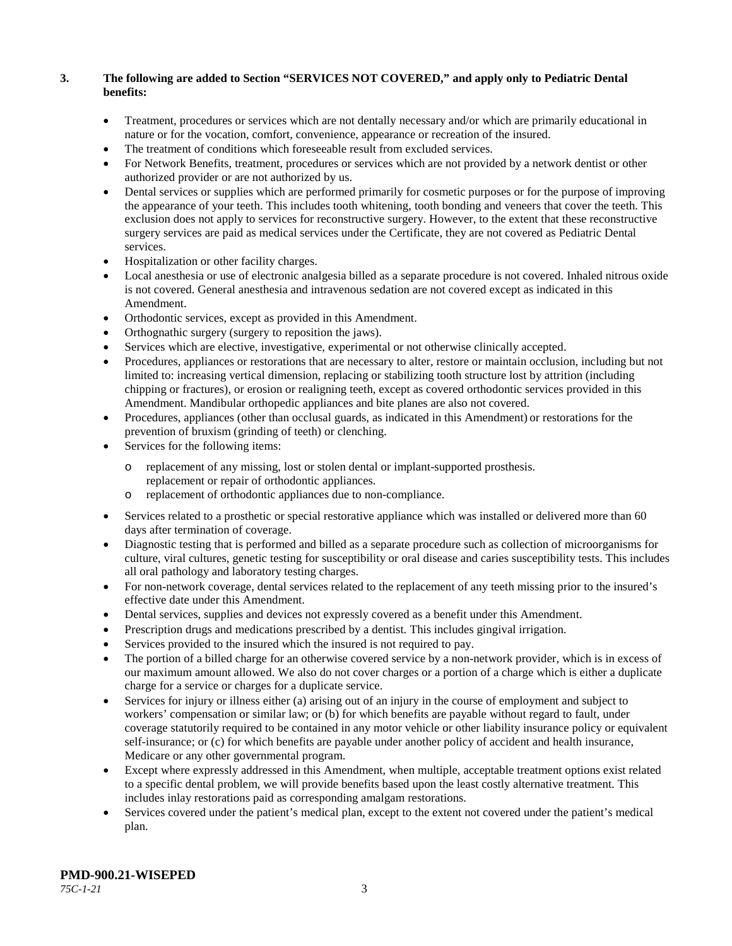## **3. The following are added to Section "SERVICES NOT COVERED," and apply only to Pediatric Dental benefits:**

- Treatment, procedures or services which are not dentally necessary and/or which are primarily educational in nature or for the vocation, comfort, convenience, appearance or recreation of the insured.
- The treatment of conditions which foreseeable result from excluded services.
- For Network Benefits, treatment, procedures or services which are not provided by a network dentist or other authorized provider or are not authorized by us.
- Dental services or supplies which are performed primarily for cosmetic purposes or for the purpose of improving the appearance of your teeth. This includes tooth whitening, tooth bonding and veneers that cover the teeth. This exclusion does not apply to services for reconstructive surgery. However, to the extent that these reconstructive surgery services are paid as medical services under the Certificate, they are not covered as Pediatric Dental services.
- Hospitalization or other facility charges.
- Local anesthesia or use of electronic analgesia billed as a separate procedure is not covered. Inhaled nitrous oxide is not covered. General anesthesia and intravenous sedation are not covered except as indicated in this Amendment.
- Orthodontic services, except as provided in this Amendment.
- Orthognathic surgery (surgery to reposition the jaws).
- Services which are elective, investigative, experimental or not otherwise clinically accepted.
- Procedures, appliances or restorations that are necessary to alter, restore or maintain occlusion, including but not limited to: increasing vertical dimension, replacing or stabilizing tooth structure lost by attrition (including chipping or fractures), or erosion or realigning teeth, except as covered orthodontic services provided in this Amendment. Mandibular orthopedic appliances and bite planes are also not covered.
- Procedures, appliances (other than occlusal guards, as indicated in this Amendment) or restorations for the prevention of bruxism (grinding of teeth) or clenching.
- Services for the following items:
	- o replacement of any missing, lost or stolen dental or implant-supported prosthesis. replacement or repair of orthodontic appliances.
	- o replacement of orthodontic appliances due to non-compliance.
- Services related to a prosthetic or special restorative appliance which was installed or delivered more than 60 days after termination of coverage.
- Diagnostic testing that is performed and billed as a separate procedure such as collection of microorganisms for culture, viral cultures, genetic testing for susceptibility or oral disease and caries susceptibility tests. This includes all oral pathology and laboratory testing charges.
- For non-network coverage, dental services related to the replacement of any teeth missing prior to the insured's effective date under this Amendment.
- Dental services, supplies and devices not expressly covered as a benefit under this Amendment.
- Prescription drugs and medications prescribed by a dentist. This includes gingival irrigation.
- Services provided to the insured which the insured is not required to pay.
- The portion of a billed charge for an otherwise covered service by a non-network provider, which is in excess of our maximum amount allowed. We also do not cover charges or a portion of a charge which is either a duplicate charge for a service or charges for a duplicate service.
- Services for injury or illness either (a) arising out of an injury in the course of employment and subject to workers' compensation or similar law; or (b) for which benefits are payable without regard to fault, under coverage statutorily required to be contained in any motor vehicle or other liability insurance policy or equivalent self-insurance; or (c) for which benefits are payable under another policy of accident and health insurance, Medicare or any other governmental program.
- Except where expressly addressed in this Amendment, when multiple, acceptable treatment options exist related to a specific dental problem, we will provide benefits based upon the least costly alternative treatment. This includes inlay restorations paid as corresponding amalgam restorations.
- Services covered under the patient's medical plan, except to the extent not covered under the patient's medical plan.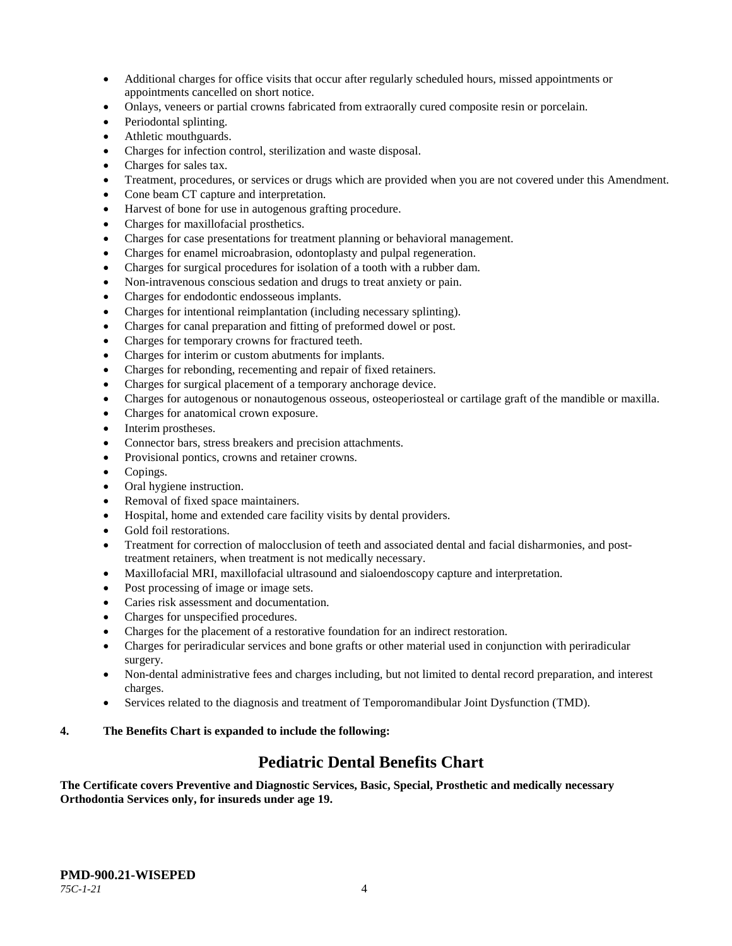- Additional charges for office visits that occur after regularly scheduled hours, missed appointments or appointments cancelled on short notice.
- Onlays, veneers or partial crowns fabricated from extraorally cured composite resin or porcelain.
- Periodontal splinting.
- Athletic mouthguards.
- Charges for infection control, sterilization and waste disposal.
- Charges for sales tax.
- Treatment, procedures, or services or drugs which are provided when you are not covered under this Amendment.
- Cone beam CT capture and interpretation.
- Harvest of bone for use in autogenous grafting procedure.
- Charges for maxillofacial prosthetics.
- Charges for case presentations for treatment planning or behavioral management.
- Charges for enamel microabrasion, odontoplasty and pulpal regeneration.
- Charges for surgical procedures for isolation of a tooth with a rubber dam.
- Non-intravenous conscious sedation and drugs to treat anxiety or pain.
- Charges for endodontic endosseous implants.
- Charges for intentional reimplantation (including necessary splinting).
- Charges for canal preparation and fitting of preformed dowel or post.
- Charges for temporary crowns for fractured teeth.
- Charges for interim or custom abutments for implants.
- Charges for rebonding, recementing and repair of fixed retainers.
- Charges for surgical placement of a temporary anchorage device.
- Charges for autogenous or nonautogenous osseous, osteoperiosteal or cartilage graft of the mandible or maxilla.
- Charges for anatomical crown exposure.
- Interim prostheses.
- Connector bars, stress breakers and precision attachments.
- Provisional pontics, crowns and retainer crowns.
- Copings.
- Oral hygiene instruction.
- Removal of fixed space maintainers.
- Hospital, home and extended care facility visits by dental providers.
- Gold foil restorations.
- Treatment for correction of malocclusion of teeth and associated dental and facial disharmonies, and posttreatment retainers, when treatment is not medically necessary.
- Maxillofacial MRI, maxillofacial ultrasound and sialoendoscopy capture and interpretation.
- Post processing of image or image sets.
- Caries risk assessment and documentation.
- Charges for unspecified procedures.
- Charges for the placement of a restorative foundation for an indirect restoration.
- Charges for periradicular services and bone grafts or other material used in conjunction with periradicular surgery.
- Non-dental administrative fees and charges including, but not limited to dental record preparation, and interest charges.
- Services related to the diagnosis and treatment of Temporomandibular Joint Dysfunction (TMD).

## **4. The Benefits Chart is expanded to include the following:**

## **Pediatric Dental Benefits Chart**

**The Certificate covers Preventive and Diagnostic Services, Basic, Special, Prosthetic and medically necessary Orthodontia Services only, for insureds under age 19.**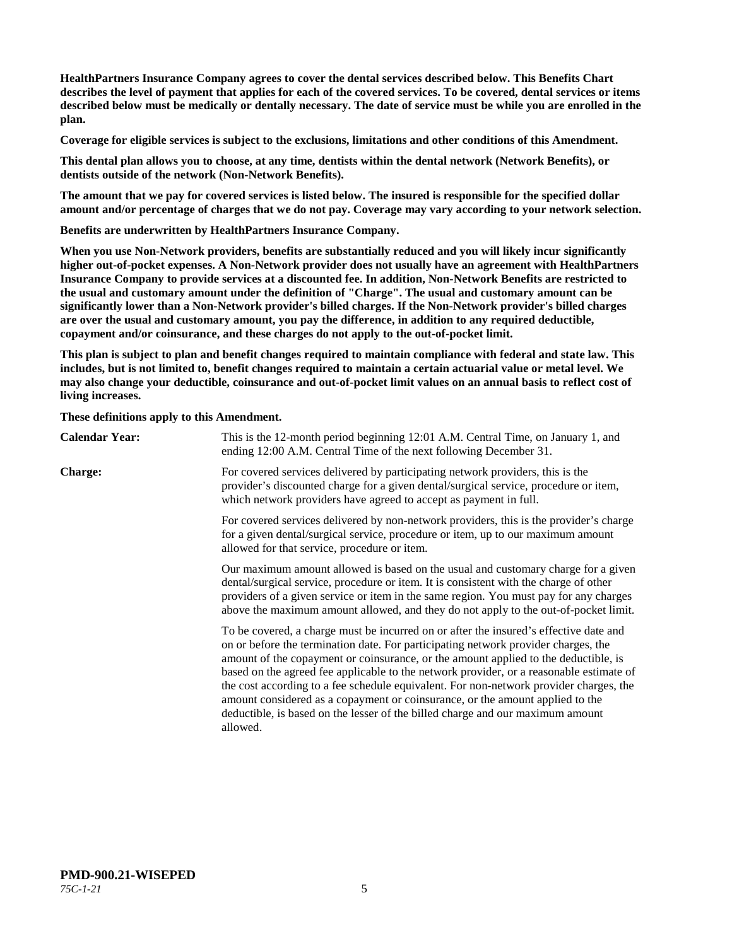**HealthPartners Insurance Company agrees to cover the dental services described below. This Benefits Chart describes the level of payment that applies for each of the covered services. To be covered, dental services or items described below must be medically or dentally necessary. The date of service must be while you are enrolled in the plan.**

**Coverage for eligible services is subject to the exclusions, limitations and other conditions of this Amendment.**

**This dental plan allows you to choose, at any time, dentists within the dental network (Network Benefits), or dentists outside of the network (Non-Network Benefits).**

**The amount that we pay for covered services is listed below. The insured is responsible for the specified dollar amount and/or percentage of charges that we do not pay. Coverage may vary according to your network selection.**

**Benefits are underwritten by HealthPartners Insurance Company.**

**When you use Non-Network providers, benefits are substantially reduced and you will likely incur significantly higher out-of-pocket expenses. A Non-Network provider does not usually have an agreement with HealthPartners Insurance Company to provide services at a discounted fee. In addition, Non-Network Benefits are restricted to the usual and customary amount under the definition of "Charge". The usual and customary amount can be significantly lower than a Non-Network provider's billed charges. If the Non-Network provider's billed charges are over the usual and customary amount, you pay the difference, in addition to any required deductible, copayment and/or coinsurance, and these charges do not apply to the out-of-pocket limit.**

**This plan is subject to plan and benefit changes required to maintain compliance with federal and state law. This includes, but is not limited to, benefit changes required to maintain a certain actuarial value or metal level. We may also change your deductible, coinsurance and out-of-pocket limit values on an annual basis to reflect cost of living increases.**

**These definitions apply to this Amendment.**

| <b>Calendar Year:</b> | This is the 12-month period beginning 12:01 A.M. Central Time, on January 1, and<br>ending 12:00 A.M. Central Time of the next following December 31.                                                                                                                                                                                                                                                                                                                                                                                                                                                                                  |  |
|-----------------------|----------------------------------------------------------------------------------------------------------------------------------------------------------------------------------------------------------------------------------------------------------------------------------------------------------------------------------------------------------------------------------------------------------------------------------------------------------------------------------------------------------------------------------------------------------------------------------------------------------------------------------------|--|
| <b>Charge:</b>        | For covered services delivered by participating network providers, this is the<br>provider's discounted charge for a given dental/surgical service, procedure or item,<br>which network providers have agreed to accept as payment in full.                                                                                                                                                                                                                                                                                                                                                                                            |  |
|                       | For covered services delivered by non-network providers, this is the provider's charge<br>for a given dental/surgical service, procedure or item, up to our maximum amount<br>allowed for that service, procedure or item.                                                                                                                                                                                                                                                                                                                                                                                                             |  |
|                       | Our maximum amount allowed is based on the usual and customary charge for a given<br>dental/surgical service, procedure or item. It is consistent with the charge of other<br>providers of a given service or item in the same region. You must pay for any charges<br>above the maximum amount allowed, and they do not apply to the out-of-pocket limit.                                                                                                                                                                                                                                                                             |  |
|                       | To be covered, a charge must be incurred on or after the insured's effective date and<br>on or before the termination date. For participating network provider charges, the<br>amount of the copayment or coinsurance, or the amount applied to the deductible, is<br>based on the agreed fee applicable to the network provider, or a reasonable estimate of<br>the cost according to a fee schedule equivalent. For non-network provider charges, the<br>amount considered as a copayment or coinsurance, or the amount applied to the<br>deductible, is based on the lesser of the billed charge and our maximum amount<br>allowed. |  |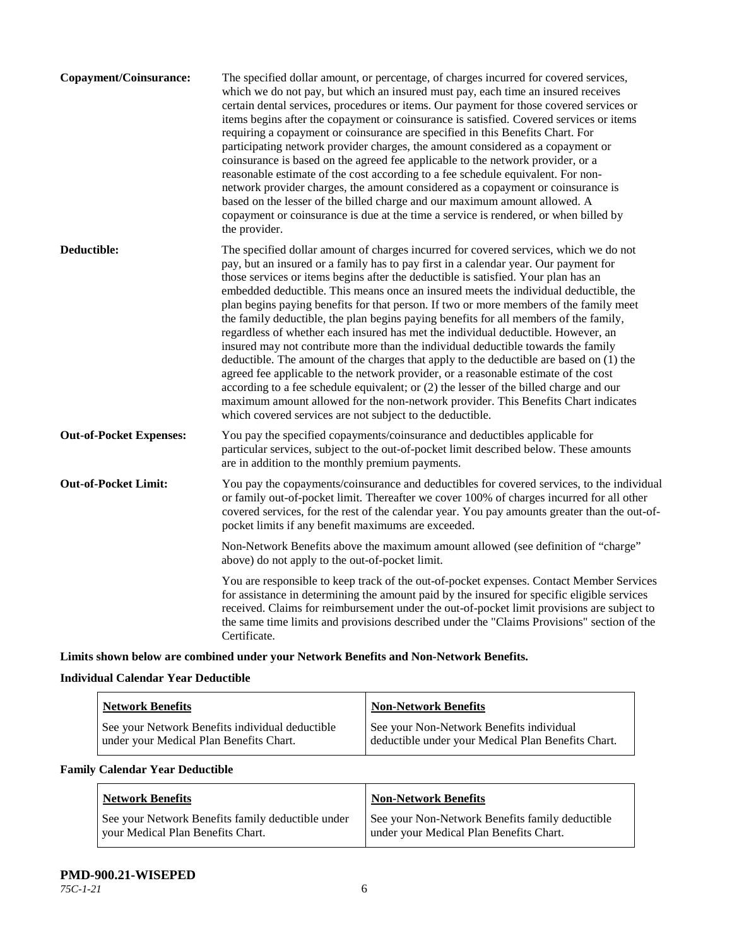| Copayment/Coinsurance:         | The specified dollar amount, or percentage, of charges incurred for covered services,<br>which we do not pay, but which an insured must pay, each time an insured receives<br>certain dental services, procedures or items. Our payment for those covered services or<br>items begins after the copayment or coinsurance is satisfied. Covered services or items<br>requiring a copayment or coinsurance are specified in this Benefits Chart. For<br>participating network provider charges, the amount considered as a copayment or<br>coinsurance is based on the agreed fee applicable to the network provider, or a<br>reasonable estimate of the cost according to a fee schedule equivalent. For non-<br>network provider charges, the amount considered as a copayment or coinsurance is<br>based on the lesser of the billed charge and our maximum amount allowed. A<br>copayment or coinsurance is due at the time a service is rendered, or when billed by<br>the provider.                                                                                                                                                                 |
|--------------------------------|---------------------------------------------------------------------------------------------------------------------------------------------------------------------------------------------------------------------------------------------------------------------------------------------------------------------------------------------------------------------------------------------------------------------------------------------------------------------------------------------------------------------------------------------------------------------------------------------------------------------------------------------------------------------------------------------------------------------------------------------------------------------------------------------------------------------------------------------------------------------------------------------------------------------------------------------------------------------------------------------------------------------------------------------------------------------------------------------------------------------------------------------------------|
| Deductible:                    | The specified dollar amount of charges incurred for covered services, which we do not<br>pay, but an insured or a family has to pay first in a calendar year. Our payment for<br>those services or items begins after the deductible is satisfied. Your plan has an<br>embedded deductible. This means once an insured meets the individual deductible, the<br>plan begins paying benefits for that person. If two or more members of the family meet<br>the family deductible, the plan begins paying benefits for all members of the family,<br>regardless of whether each insured has met the individual deductible. However, an<br>insured may not contribute more than the individual deductible towards the family<br>deductible. The amount of the charges that apply to the deductible are based on (1) the<br>agreed fee applicable to the network provider, or a reasonable estimate of the cost<br>according to a fee schedule equivalent; or (2) the lesser of the billed charge and our<br>maximum amount allowed for the non-network provider. This Benefits Chart indicates<br>which covered services are not subject to the deductible. |
| <b>Out-of-Pocket Expenses:</b> | You pay the specified copayments/coinsurance and deductibles applicable for<br>particular services, subject to the out-of-pocket limit described below. These amounts<br>are in addition to the monthly premium payments.                                                                                                                                                                                                                                                                                                                                                                                                                                                                                                                                                                                                                                                                                                                                                                                                                                                                                                                               |
| <b>Out-of-Pocket Limit:</b>    | You pay the copayments/coinsurance and deductibles for covered services, to the individual<br>or family out-of-pocket limit. Thereafter we cover 100% of charges incurred for all other<br>covered services, for the rest of the calendar year. You pay amounts greater than the out-of-<br>pocket limits if any benefit maximums are exceeded.                                                                                                                                                                                                                                                                                                                                                                                                                                                                                                                                                                                                                                                                                                                                                                                                         |
|                                | Non-Network Benefits above the maximum amount allowed (see definition of "charge"<br>above) do not apply to the out-of-pocket limit.                                                                                                                                                                                                                                                                                                                                                                                                                                                                                                                                                                                                                                                                                                                                                                                                                                                                                                                                                                                                                    |
|                                | You are responsible to keep track of the out-of-pocket expenses. Contact Member Services<br>for assistance in determining the amount paid by the insured for specific eligible services<br>received. Claims for reimbursement under the out-of-pocket limit provisions are subject to<br>the same time limits and provisions described under the "Claims Provisions" section of the<br>Certificate.                                                                                                                                                                                                                                                                                                                                                                                                                                                                                                                                                                                                                                                                                                                                                     |

**Limits shown below are combined under your Network Benefits and Non-Network Benefits.**

## **Individual Calendar Year Deductible**

| <b>Network Benefits</b>                         | <b>Non-Network Benefits</b>                        |
|-------------------------------------------------|----------------------------------------------------|
| See your Network Benefits individual deductible | See your Non-Network Benefits individual           |
| under your Medical Plan Benefits Chart.         | deductible under your Medical Plan Benefits Chart. |

## **Family Calendar Year Deductible**

| <b>Network Benefits</b>                           | <b>Non-Network Benefits</b>                     |
|---------------------------------------------------|-------------------------------------------------|
| See your Network Benefits family deductible under | See your Non-Network Benefits family deductible |
| vour Medical Plan Benefits Chart.                 | under your Medical Plan Benefits Chart.         |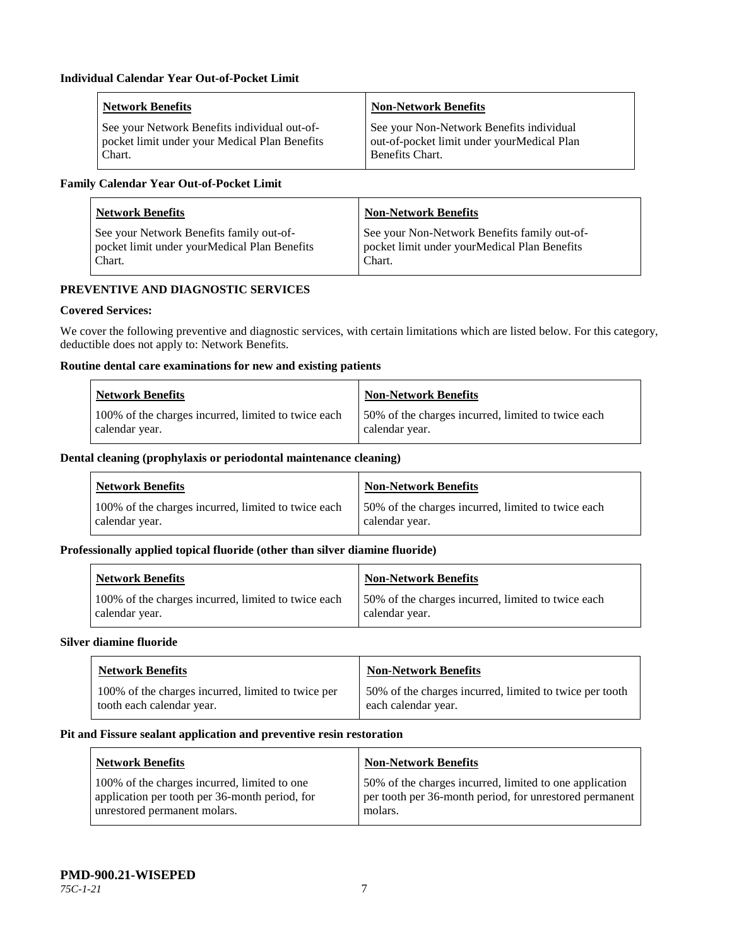| <b>Network Benefits</b>                       | <b>Non-Network Benefits</b>                |
|-----------------------------------------------|--------------------------------------------|
| See your Network Benefits individual out-of-  | See your Non-Network Benefits individual   |
| pocket limit under your Medical Plan Benefits | out-of-pocket limit under yourMedical Plan |
| Chart.                                        | <b>Benefits Chart.</b>                     |

## **Family Calendar Year Out-of-Pocket Limit**

| <b>Network Benefits</b>                      | <b>Non-Network Benefits</b>                  |
|----------------------------------------------|----------------------------------------------|
| See your Network Benefits family out-of-     | See your Non-Network Benefits family out-of- |
| pocket limit under yourMedical Plan Benefits | pocket limit under yourMedical Plan Benefits |
| Chart.                                       | Chart.                                       |

## **PREVENTIVE AND DIAGNOSTIC SERVICES**

## **Covered Services:**

We cover the following preventive and diagnostic services, with certain limitations which are listed below. For this category, deductible does not apply to: Network Benefits.

## **Routine dental care examinations for new and existing patients**

| <b>Network Benefits</b>                             | Non-Network Benefits                               |
|-----------------------------------------------------|----------------------------------------------------|
| 100% of the charges incurred, limited to twice each | 50% of the charges incurred, limited to twice each |
| calendar year.                                      | calendar year.                                     |

#### **Dental cleaning (prophylaxis or periodontal maintenance cleaning)**

| <b>Network Benefits</b>                             | <b>Non-Network Benefits</b>                        |
|-----------------------------------------------------|----------------------------------------------------|
| 100% of the charges incurred, limited to twice each | 50% of the charges incurred, limited to twice each |
| calendar year.                                      | calendar year.                                     |

#### **Professionally applied topical fluoride (other than silver diamine fluoride)**

| <b>Network Benefits</b>                             | <b>Non-Network Benefits</b>                         |
|-----------------------------------------------------|-----------------------------------------------------|
| 100% of the charges incurred, limited to twice each | 150% of the charges incurred, limited to twice each |
| calendar year.                                      | calendar year.                                      |

#### **Silver diamine fluoride**

| <b>Network Benefits</b>                            | <b>Non-Network Benefits</b>                             |
|----------------------------------------------------|---------------------------------------------------------|
| 100% of the charges incurred, limited to twice per | 50% of the charges incurred, limited to twice per tooth |
| tooth each calendar year.                          | each calendar year.                                     |

#### **Pit and Fissure sealant application and preventive resin restoration**

| Network Benefits                               | <b>Non-Network Benefits</b>                             |
|------------------------------------------------|---------------------------------------------------------|
| 100% of the charges incurred, limited to one   | 50% of the charges incurred, limited to one application |
| application per tooth per 36-month period, for | per tooth per 36-month period, for unrestored permanent |
| unrestored permanent molars.                   | molars.                                                 |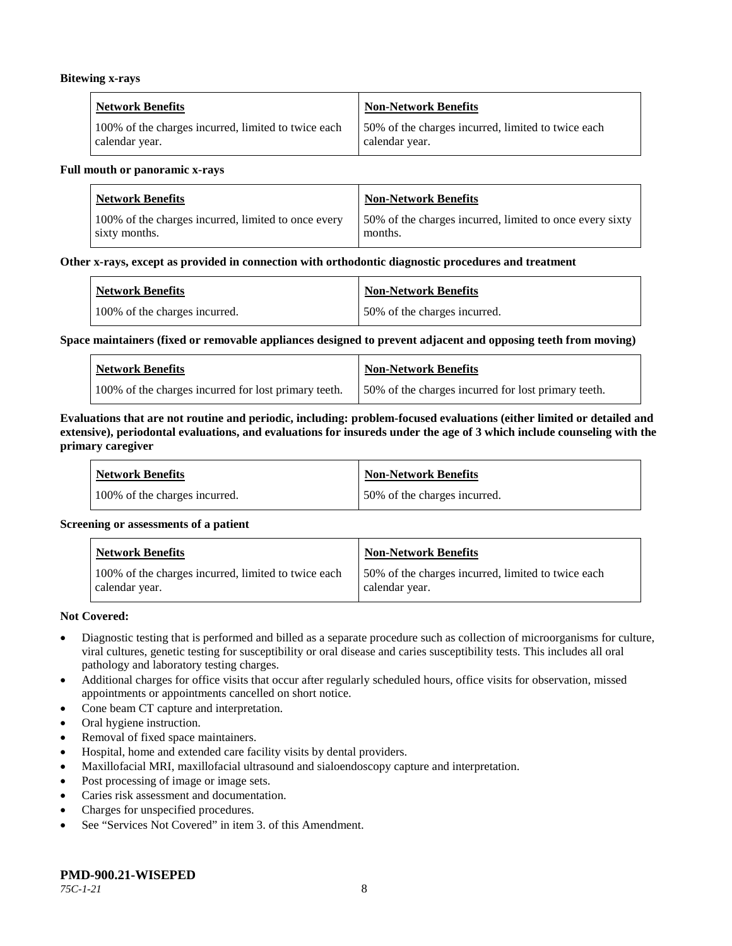#### **Bitewing x-rays**

| <b>Network Benefits</b>                             | Non-Network Benefits                               |
|-----------------------------------------------------|----------------------------------------------------|
| 100% of the charges incurred, limited to twice each | 50% of the charges incurred, limited to twice each |
| calendar year.                                      | calendar year.                                     |

#### **Full mouth or panoramic x-rays**

| <b>Network Benefits</b>                             | <b>Non-Network Benefits</b>                              |
|-----------------------------------------------------|----------------------------------------------------------|
| 100% of the charges incurred, limited to once every | 50% of the charges incurred, limited to once every sixty |
| sixty months.                                       | months.                                                  |

#### **Other x-rays, except as provided in connection with orthodontic diagnostic procedures and treatment**

| <b>Network Benefits</b>       | <b>Non-Network Benefits</b>  |
|-------------------------------|------------------------------|
| 100% of the charges incurred. | 50% of the charges incurred. |

#### **Space maintainers (fixed or removable appliances designed to prevent adjacent and opposing teeth from moving)**

| <b>Network Benefits</b>                              | Non-Network Benefits                                |
|------------------------------------------------------|-----------------------------------------------------|
| 100% of the charges incurred for lost primary teeth. | 50% of the charges incurred for lost primary teeth. |

#### **Evaluations that are not routine and periodic, including: problem-focused evaluations (either limited or detailed and extensive), periodontal evaluations, and evaluations for insureds under the age of 3 which include counseling with the primary caregiver**

| <b>Network Benefits</b>       | <b>Non-Network Benefits</b>  |
|-------------------------------|------------------------------|
| 100% of the charges incurred. | 50% of the charges incurred. |

#### **Screening or assessments of a patient**

| <b>Network Benefits</b>                                               | Non-Network Benefits                                                 |
|-----------------------------------------------------------------------|----------------------------------------------------------------------|
| 100% of the charges incurred, limited to twice each<br>calendar year. | 50% of the charges incurred, limited to twice each<br>calendar year. |

#### **Not Covered:**

- Diagnostic testing that is performed and billed as a separate procedure such as collection of microorganisms for culture, viral cultures, genetic testing for susceptibility or oral disease and caries susceptibility tests. This includes all oral pathology and laboratory testing charges.
- Additional charges for office visits that occur after regularly scheduled hours, office visits for observation, missed appointments or appointments cancelled on short notice.
- Cone beam CT capture and interpretation.
- Oral hygiene instruction.
- Removal of fixed space maintainers.
- Hospital, home and extended care facility visits by dental providers.
- Maxillofacial MRI, maxillofacial ultrasound and sialoendoscopy capture and interpretation.
- Post processing of image or image sets.
- Caries risk assessment and documentation.
- Charges for unspecified procedures.
- See "Services Not Covered" in item 3. of this Amendment.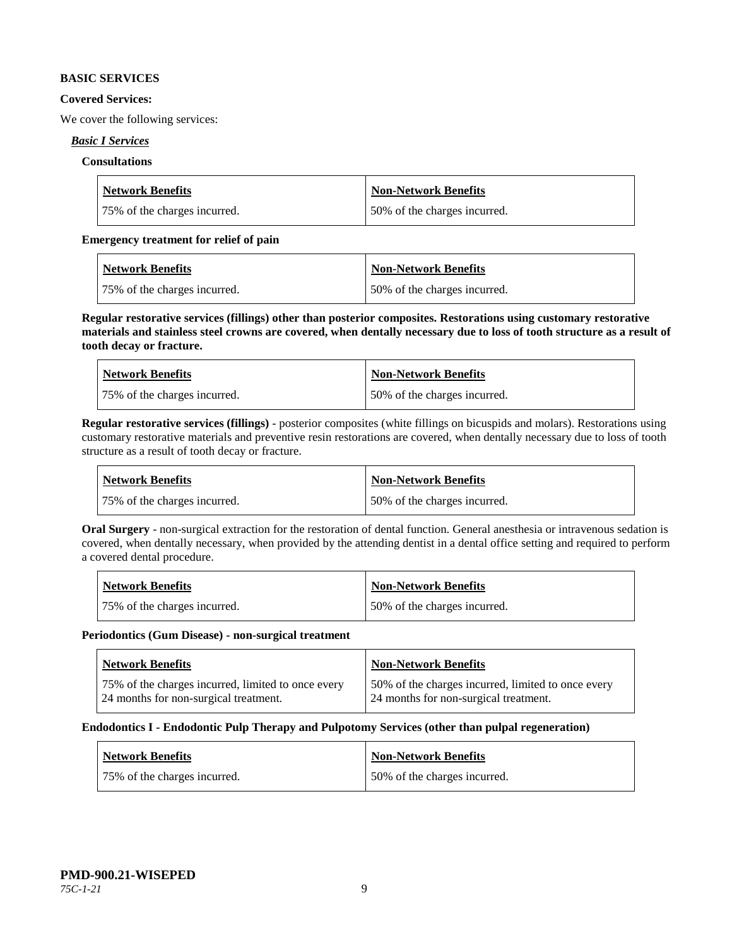#### **BASIC SERVICES**

#### **Covered Services:**

We cover the following services:

#### *Basic I Services*

#### **Consultations**

| <b>Network Benefits</b>       | Non-Network Benefits         |
|-------------------------------|------------------------------|
| 175% of the charges incurred. | 50% of the charges incurred. |

#### **Emergency treatment for relief of pain**

| <b>Network Benefits</b>      | <b>Non-Network Benefits</b>  |
|------------------------------|------------------------------|
| 75% of the charges incurred. | 50% of the charges incurred. |

**Regular restorative services (fillings) other than posterior composites. Restorations using customary restorative materials and stainless steel crowns are covered, when dentally necessary due to loss of tooth structure as a result of tooth decay or fracture.**

| <b>Network Benefits</b>       | <b>Non-Network Benefits</b>  |
|-------------------------------|------------------------------|
| 175% of the charges incurred. | 50% of the charges incurred. |

**Regular restorative services (fillings)** - posterior composites (white fillings on bicuspids and molars). Restorations using customary restorative materials and preventive resin restorations are covered, when dentally necessary due to loss of tooth structure as a result of tooth decay or fracture.

| <b>Network Benefits</b>      | <b>Non-Network Benefits</b>  |
|------------------------------|------------------------------|
| 75% of the charges incurred. | 50% of the charges incurred. |

**Oral Surgery** - non-surgical extraction for the restoration of dental function. General anesthesia or intravenous sedation is covered, when dentally necessary, when provided by the attending dentist in a dental office setting and required to perform a covered dental procedure.

| Network Benefits             | <b>Non-Network Benefits</b>  |
|------------------------------|------------------------------|
| 75% of the charges incurred. | 50% of the charges incurred. |

#### **Periodontics (Gum Disease) - non-surgical treatment**

| <b>Network Benefits</b>                            | <b>Non-Network Benefits</b>                        |
|----------------------------------------------------|----------------------------------------------------|
| 75% of the charges incurred, limited to once every | 50% of the charges incurred, limited to once every |
| 124 months for non-surgical treatment.             | 24 months for non-surgical treatment.              |

#### **Endodontics I - Endodontic Pulp Therapy and Pulpotomy Services (other than pulpal regeneration)**

| <b>Network Benefits</b>      | Non-Network Benefits         |
|------------------------------|------------------------------|
| 75% of the charges incurred. | 50% of the charges incurred. |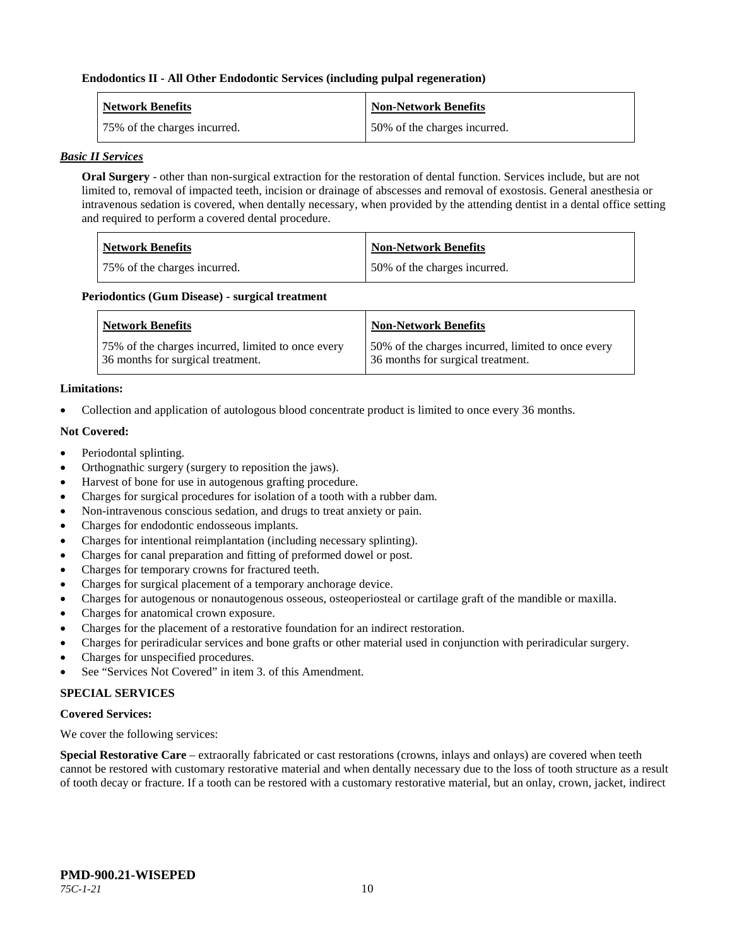#### **Endodontics II - All Other Endodontic Services (including pulpal regeneration)**

| <b>Network Benefits</b>      | <b>Non-Network Benefits</b>  |
|------------------------------|------------------------------|
| 75% of the charges incurred. | 50% of the charges incurred. |

#### *Basic II Services*

**Oral Surgery** - other than non-surgical extraction for the restoration of dental function. Services include, but are not limited to, removal of impacted teeth, incision or drainage of abscesses and removal of exostosis. General anesthesia or intravenous sedation is covered, when dentally necessary, when provided by the attending dentist in a dental office setting and required to perform a covered dental procedure.

| <b>Network Benefits</b>      | <b>Non-Network Benefits</b>  |
|------------------------------|------------------------------|
| 75% of the charges incurred. | 50% of the charges incurred. |

#### **Periodontics (Gum Disease) - surgical treatment**

| <b>Network Benefits</b>                            | <b>Non-Network Benefits</b>                        |
|----------------------------------------------------|----------------------------------------------------|
| 75% of the charges incurred, limited to once every | 50% of the charges incurred, limited to once every |
| 36 months for surgical treatment.                  | 36 months for surgical treatment.                  |

#### **Limitations:**

• Collection and application of autologous blood concentrate product is limited to once every 36 months.

#### **Not Covered:**

- Periodontal splinting.
- Orthognathic surgery (surgery to reposition the jaws).
- Harvest of bone for use in autogenous grafting procedure.
- Charges for surgical procedures for isolation of a tooth with a rubber dam.
- Non-intravenous conscious sedation, and drugs to treat anxiety or pain.
- Charges for endodontic endosseous implants.
- Charges for intentional reimplantation (including necessary splinting).
- Charges for canal preparation and fitting of preformed dowel or post.
- Charges for temporary crowns for fractured teeth.
- Charges for surgical placement of a temporary anchorage device.
- Charges for autogenous or nonautogenous osseous, osteoperiosteal or cartilage graft of the mandible or maxilla.
- Charges for anatomical crown exposure.
- Charges for the placement of a restorative foundation for an indirect restoration.
- Charges for periradicular services and bone grafts or other material used in conjunction with periradicular surgery.
- Charges for unspecified procedures.
- See "Services Not Covered" in item 3. of this Amendment.

## **SPECIAL SERVICES**

#### **Covered Services:**

We cover the following services:

**Special Restorative Care** – extraorally fabricated or cast restorations (crowns, inlays and onlays) are covered when teeth cannot be restored with customary restorative material and when dentally necessary due to the loss of tooth structure as a result of tooth decay or fracture. If a tooth can be restored with a customary restorative material, but an onlay, crown, jacket, indirect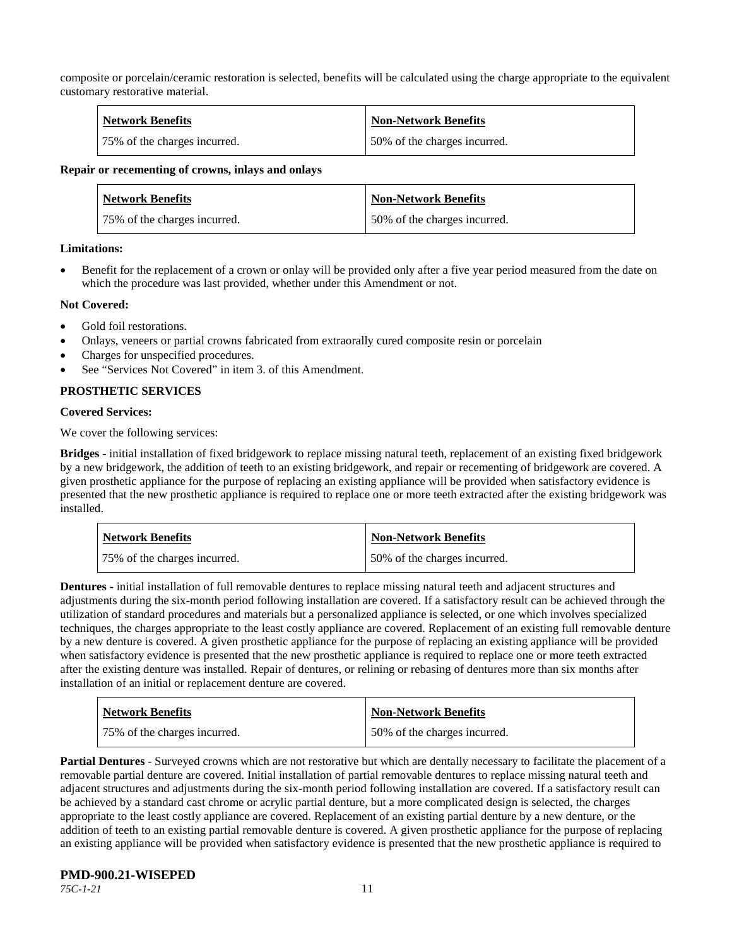composite or porcelain/ceramic restoration is selected, benefits will be calculated using the charge appropriate to the equivalent customary restorative material.

| <b>Network Benefits</b>      | <b>Non-Network Benefits</b>  |
|------------------------------|------------------------------|
| 75% of the charges incurred. | 50% of the charges incurred. |

#### **Repair or recementing of crowns, inlays and onlays**

| <b>Network Benefits</b>      | <b>Non-Network Benefits</b>  |
|------------------------------|------------------------------|
| 75% of the charges incurred. | 50% of the charges incurred. |

#### **Limitations:**

• Benefit for the replacement of a crown or onlay will be provided only after a five year period measured from the date on which the procedure was last provided, whether under this Amendment or not.

#### **Not Covered:**

- Gold foil restorations.
- Onlays, veneers or partial crowns fabricated from extraorally cured composite resin or porcelain
- Charges for unspecified procedures.
- See "Services Not Covered" in item 3, of this Amendment.

#### **PROSTHETIC SERVICES**

#### **Covered Services:**

We cover the following services:

**Bridges** - initial installation of fixed bridgework to replace missing natural teeth, replacement of an existing fixed bridgework by a new bridgework, the addition of teeth to an existing bridgework, and repair or recementing of bridgework are covered. A given prosthetic appliance for the purpose of replacing an existing appliance will be provided when satisfactory evidence is presented that the new prosthetic appliance is required to replace one or more teeth extracted after the existing bridgework was installed.

| <b>Network Benefits</b>      | <b>Non-Network Benefits</b>  |
|------------------------------|------------------------------|
| 75% of the charges incurred. | 50% of the charges incurred. |

**Dentures -** initial installation of full removable dentures to replace missing natural teeth and adjacent structures and adjustments during the six-month period following installation are covered. If a satisfactory result can be achieved through the utilization of standard procedures and materials but a personalized appliance is selected, or one which involves specialized techniques, the charges appropriate to the least costly appliance are covered. Replacement of an existing full removable denture by a new denture is covered. A given prosthetic appliance for the purpose of replacing an existing appliance will be provided when satisfactory evidence is presented that the new prosthetic appliance is required to replace one or more teeth extracted after the existing denture was installed. Repair of dentures, or relining or rebasing of dentures more than six months after installation of an initial or replacement denture are covered.

| <b>Network Benefits</b>      | <b>Non-Network Benefits</b>  |
|------------------------------|------------------------------|
| 75% of the charges incurred. | 50% of the charges incurred. |

**Partial Dentures** - Surveyed crowns which are not restorative but which are dentally necessary to facilitate the placement of a removable partial denture are covered. Initial installation of partial removable dentures to replace missing natural teeth and adjacent structures and adjustments during the six-month period following installation are covered. If a satisfactory result can be achieved by a standard cast chrome or acrylic partial denture, but a more complicated design is selected, the charges appropriate to the least costly appliance are covered. Replacement of an existing partial denture by a new denture, or the addition of teeth to an existing partial removable denture is covered. A given prosthetic appliance for the purpose of replacing an existing appliance will be provided when satisfactory evidence is presented that the new prosthetic appliance is required to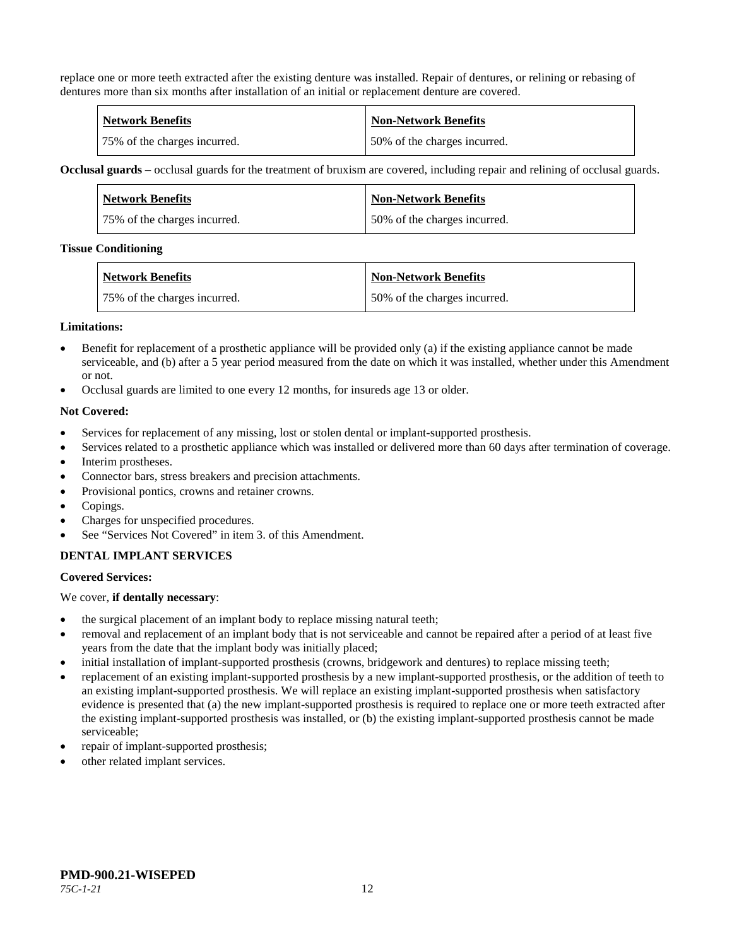replace one or more teeth extracted after the existing denture was installed. Repair of dentures, or relining or rebasing of dentures more than six months after installation of an initial or replacement denture are covered.

| <b>Network Benefits</b>      | <b>Non-Network Benefits</b>  |
|------------------------------|------------------------------|
| 75% of the charges incurred. | 50% of the charges incurred. |

**Occlusal guards** – occlusal guards for the treatment of bruxism are covered, including repair and relining of occlusal guards.

| Network Benefits             | <b>Non-Network Benefits</b>  |
|------------------------------|------------------------------|
| 75% of the charges incurred. | 50% of the charges incurred. |

#### **Tissue Conditioning**

| Network Benefits              | <b>Non-Network Benefits</b>  |
|-------------------------------|------------------------------|
| 175% of the charges incurred. | 50% of the charges incurred. |

#### **Limitations:**

- Benefit for replacement of a prosthetic appliance will be provided only (a) if the existing appliance cannot be made serviceable, and (b) after a 5 year period measured from the date on which it was installed, whether under this Amendment or not.
- Occlusal guards are limited to one every 12 months, for insureds age 13 or older.

#### **Not Covered:**

- Services for replacement of any missing, lost or stolen dental or implant-supported prosthesis.
- Services related to a prosthetic appliance which was installed or delivered more than 60 days after termination of coverage.
- Interim prostheses.
- Connector bars, stress breakers and precision attachments.
- Provisional pontics, crowns and retainer crowns.
- Copings.
- Charges for unspecified procedures.
- See "Services Not Covered" in item 3. of this Amendment.

#### **DENTAL IMPLANT SERVICES**

#### **Covered Services:**

We cover, **if dentally necessary**:

- the surgical placement of an implant body to replace missing natural teeth;
- removal and replacement of an implant body that is not serviceable and cannot be repaired after a period of at least five years from the date that the implant body was initially placed;
- initial installation of implant-supported prosthesis (crowns, bridgework and dentures) to replace missing teeth;
- replacement of an existing implant-supported prosthesis by a new implant-supported prosthesis, or the addition of teeth to an existing implant-supported prosthesis. We will replace an existing implant-supported prosthesis when satisfactory evidence is presented that (a) the new implant-supported prosthesis is required to replace one or more teeth extracted after the existing implant-supported prosthesis was installed, or (b) the existing implant-supported prosthesis cannot be made serviceable;
- repair of implant-supported prosthesis;
- other related implant services.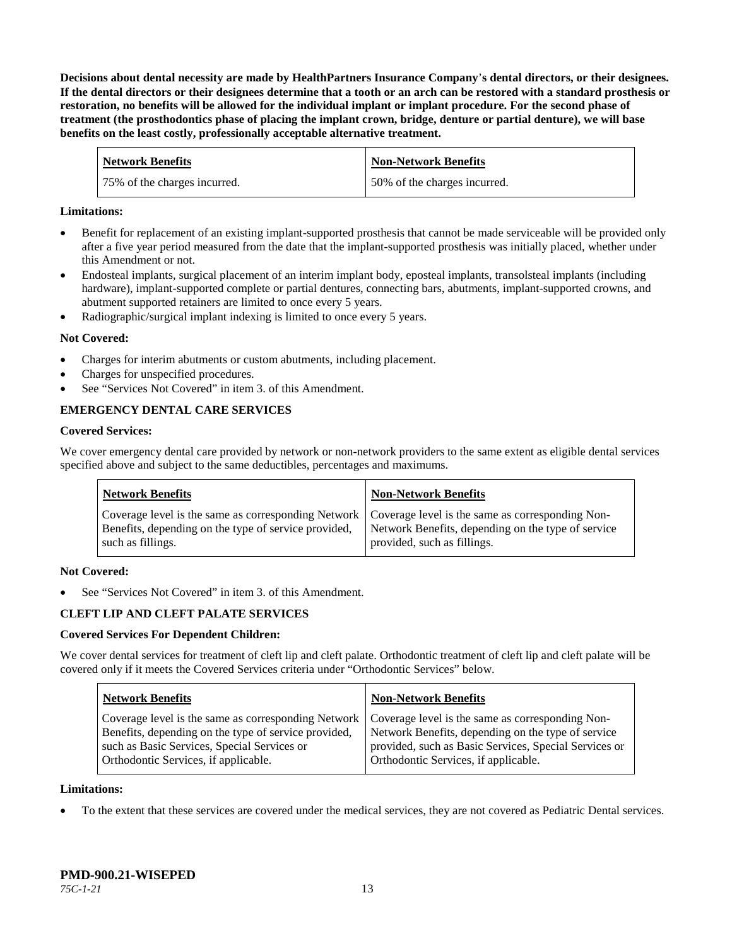**Decisions about dental necessity are made by HealthPartners Insurance Company**'**s dental directors, or their designees. If the dental directors or their designees determine that a tooth or an arch can be restored with a standard prosthesis or restoration, no benefits will be allowed for the individual implant or implant procedure. For the second phase of treatment (the prosthodontics phase of placing the implant crown, bridge, denture or partial denture), we will base benefits on the least costly, professionally acceptable alternative treatment.**

| <b>Network Benefits</b>      | <b>Non-Network Benefits</b>  |
|------------------------------|------------------------------|
| 75% of the charges incurred. | 50% of the charges incurred. |

#### **Limitations:**

- Benefit for replacement of an existing implant-supported prosthesis that cannot be made serviceable will be provided only after a five year period measured from the date that the implant-supported prosthesis was initially placed, whether under this Amendment or not.
- Endosteal implants, surgical placement of an interim implant body, eposteal implants, transolsteal implants (including hardware), implant-supported complete or partial dentures, connecting bars, abutments, implant-supported crowns, and abutment supported retainers are limited to once every 5 years.
- Radiographic/surgical implant indexing is limited to once every 5 years.

#### **Not Covered:**

- Charges for interim abutments or custom abutments, including placement.
- Charges for unspecified procedures.
- See "Services Not Covered" in item 3. of this Amendment.

## **EMERGENCY DENTAL CARE SERVICES**

#### **Covered Services:**

We cover emergency dental care provided by network or non-network providers to the same extent as eligible dental services specified above and subject to the same deductibles, percentages and maximums.

| <b>Network Benefits</b>                                                                                                                                                             | <b>Non-Network Benefits</b>                                                       |
|-------------------------------------------------------------------------------------------------------------------------------------------------------------------------------------|-----------------------------------------------------------------------------------|
| Coverage level is the same as corresponding Network   Coverage level is the same as corresponding Non-<br>Benefits, depending on the type of service provided,<br>such as fillings. | Network Benefits, depending on the type of service<br>provided, such as fillings. |

#### **Not Covered:**

See "Services Not Covered" in item 3. of this Amendment.

## **CLEFT LIP AND CLEFT PALATE SERVICES**

#### **Covered Services For Dependent Children:**

We cover dental services for treatment of cleft lip and cleft palate. Orthodontic treatment of cleft lip and cleft palate will be covered only if it meets the Covered Services criteria under "Orthodontic Services" below.

| <b>Network Benefits</b>                                                                                                                                                                                                                               | <b>Non-Network Benefits</b>                                                                                                                         |
|-------------------------------------------------------------------------------------------------------------------------------------------------------------------------------------------------------------------------------------------------------|-----------------------------------------------------------------------------------------------------------------------------------------------------|
| Coverage level is the same as corresponding Network   Coverage level is the same as corresponding Non-<br>Benefits, depending on the type of service provided,<br>such as Basic Services, Special Services or<br>Orthodontic Services, if applicable. | Network Benefits, depending on the type of service<br>provided, such as Basic Services, Special Services or<br>Orthodontic Services, if applicable. |

#### **Limitations:**

• To the extent that these services are covered under the medical services, they are not covered as Pediatric Dental services.